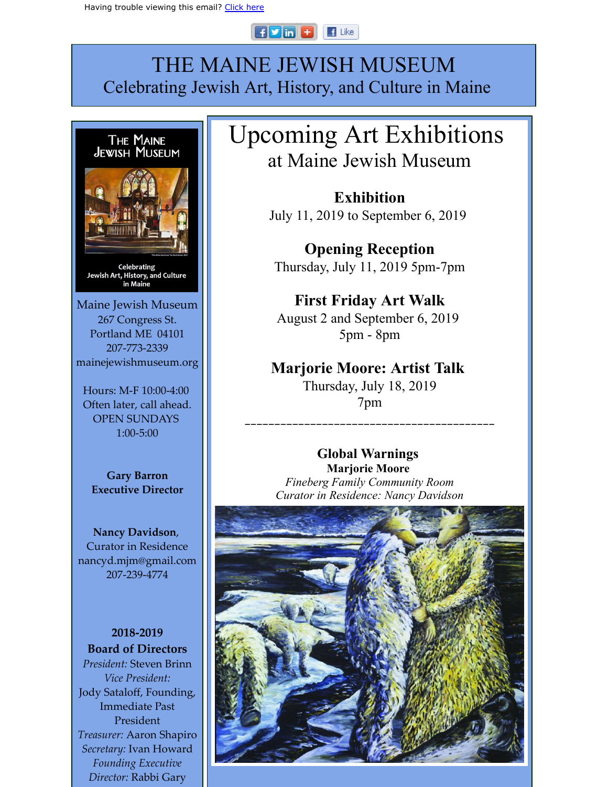#### $F$  in  $F$  $\blacksquare$  Like

# THE MAINE JEWISH MUSEUM Celebrating Jewish Art, History, and Culture in Maine



Often later, call ahead. OPEN SUNDAYS 1:00-5:00

**Gary Barron Executive Director**

**Nancy Davidson**, Curator in Residence nancyd.mjm@gmail.com 207-239-4774

**2018-2019 Board of Directors** *President:* Steven Brinn *Vice President:* Jody Sataloff, Founding, Immediate Past President *Treasurer:* Aaron Shapiro *Secretary:* Ivan Howard *Founding Executive Director:* Rabbi Gary

# Upcoming Art Exhibitions at Maine Jewish Museum

**Exhibition** July 11, 2019 to September 6, 2019

**Opening Reception** Thursday, July 11, 2019 5pm-7pm

## **First Friday Art Walk** August 2 and September 6, 2019 5pm - 8pm

### **Marjorie Moore: Artist Talk** Thursday, July 18, 2019 7pm

## **Global Warnings**

\_\_\_\_\_\_\_\_\_\_\_\_\_\_\_\_\_\_\_\_\_\_\_\_\_\_\_\_\_\_\_\_\_\_\_\_\_\_\_\_\_\_

**Marjorie Moore**  *Fineberg Family Community Room Curator in Residence: Nancy Davidson*

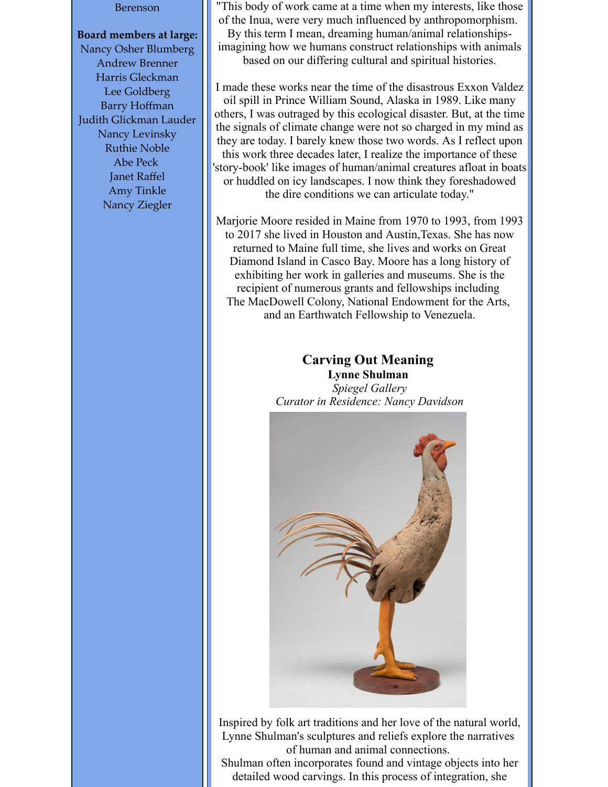#### Berenson

#### **Board members at large:**

Nancy Osher Blumberg Andrew Brenner Harris Gleckman Lee Goldberg Barry Hoffman Judith Glickman Lauder Nancy Levinsky Ruthie Noble Abe Peck Janet Raffel Amy Tinkle Nancy Ziegler

"This body of work came at a time when my interests, like those of the Inua, were very much influenced by anthropomorphism. By this term I mean, dreaming human/animal relationshipsimagining how we humans construct relationships with animals based on our differing cultural and spiritual histories.

I made these works near the time of the disastrous Exxon Valdez oil spill in Prince William Sound, Alaska in 1989. Like many others, I was outraged by this ecological disaster. But, at the time the signals of climate change were not so charged in my mind as they are today. I barely knew those two words. As I reflect upon this work three decades later, I realize the importance of these 'story-book' like images of human/animal creatures afloat in boats or huddled on icy landscapes. I now think they foreshadowed the dire conditions we can articulate today."

Marjorie Moore resided in Maine from 1970 to 1993, from 1993 to 2017 she lived in Houston and Austin,Texas. She has now returned to Maine full time, she lives and works on Great Diamond Island in Casco Bay. Moore has a long history of exhibiting her work in galleries and museums. She is the recipient of numerous grants and fellowships including The MacDowell Colony, National Endowment for the Arts, and an Earthwatch Fellowship to Venezuela.

### **Carving Out Meaning Lynne Shulman** *Spiegel Gallery Curator in Residence: Nancy Davidson*



Inspired by folk art traditions and her love of the natural world, Lynne Shulman's sculptures and reliefs explore the narratives of human and animal connections.

Shulman often incorporates found and vintage objects into her detailed wood carvings. In this process of integration, she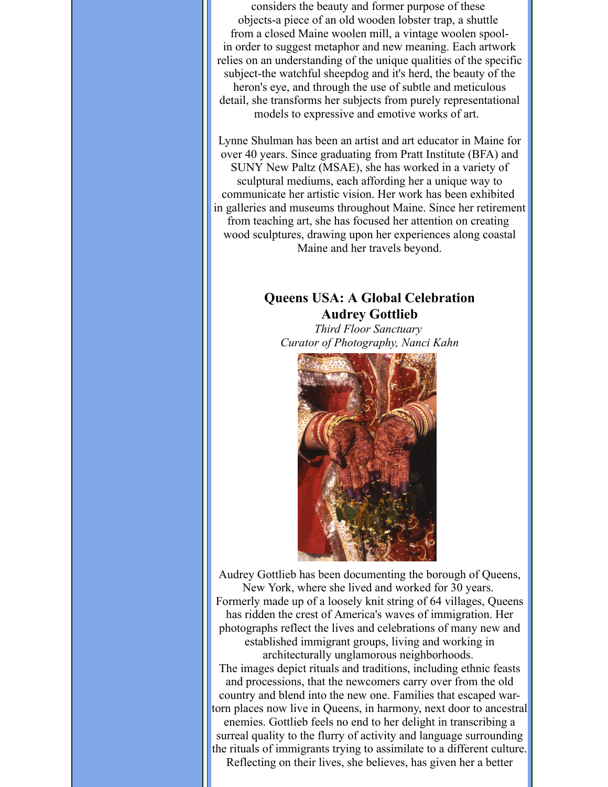considers the beauty and former purpose of these objects-a piece of an old wooden lobster trap, a shuttle from a closed Maine woolen mill, a vintage woolen spoolin order to suggest metaphor and new meaning. Each artwork relies on an understanding of the unique qualities of the specific subject-the watchful sheepdog and it's herd, the beauty of the heron's eye, and through the use of subtle and meticulous detail, she transforms her subjects from purely representational models to expressive and emotive works of art.

Lynne Shulman has been an artist and art educator in Maine for over 40 years. Since graduating from Pratt Institute (BFA) and SUNY New Paltz (MSAE), she has worked in a variety of sculptural mediums, each affording her a unique way to communicate her artistic vision. Her work has been exhibited in galleries and museums throughout Maine. Since her retirement from teaching art, she has focused her attention on creating wood sculptures, drawing upon her experiences along coastal Maine and her travels beyond.

### **Queens USA: A Global Celebration Audrey Gottlieb**

*Third Floor Sanctuary Curator of Photography, Nanci Kahn*



Audrey Gottlieb has been documenting the borough of Queens, New York, where she lived and worked for 30 years. Formerly made up of a loosely knit string of 64 villages, Queens has ridden the crest of America's waves of immigration. Her photographs reflect the lives and celebrations of many new and established immigrant groups, living and working in architecturally unglamorous neighborhoods. The images depict rituals and traditions, including ethnic feasts and processions, that the newcomers carry over from the old country and blend into the new one. Families that escaped wartorn places now live in Queens, in harmony, next door to ancestral enemies. Gottlieb feels no end to her delight in transcribing a surreal quality to the flurry of activity and language surrounding the rituals of immigrants trying to assimilate to a different culture. Reflecting on their lives, she believes, has given her a better